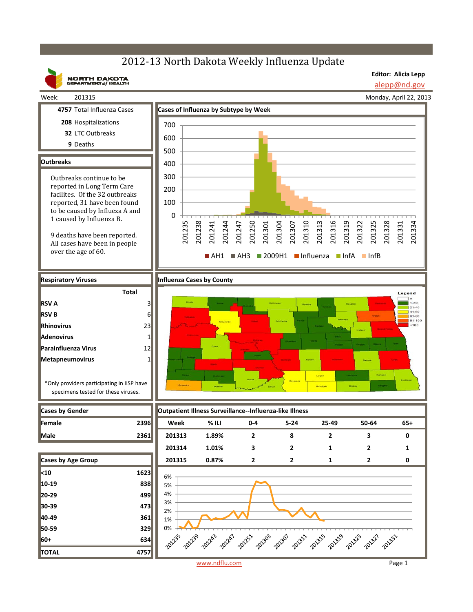**Editor: Alicia Lepp**

201325 201328 201331 201334

> Legend  $1 - 20$  $21.40$  $41.60$

201331

alepp@nd.gov Monday, April 22, 2013